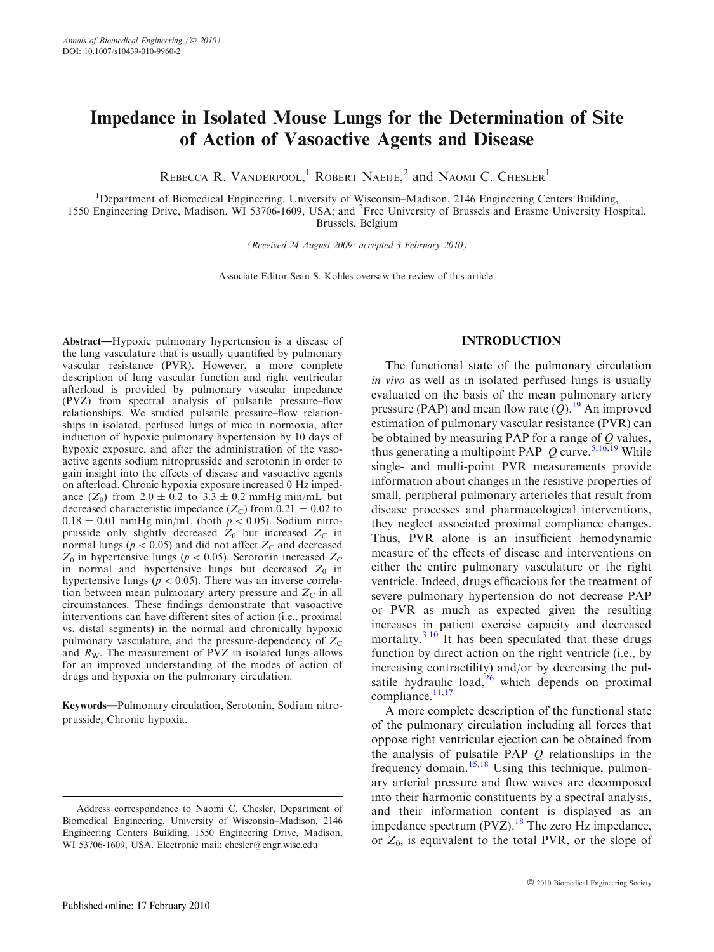# Impedance in Isolated Mouse Lungs for the Determination of Site of Action of Vasoactive Agents and Disease

REBECCA R. VANDERPOOL,<sup>1</sup> ROBERT NAEIJE,<sup>2</sup> and NAOMI C. CHESLER<sup>1</sup>

<sup>1</sup>Department of Biomedical Engineering, University of Wisconsin-Madison, 2146 Engineering Centers Building, 1550 Engineering Drive, Madison, WI 53706-1609, USA; and <sup>2</sup>Free University of Brussels and Erasme University Hospital, Brussels, Belgium

(Received 24 August 2009; accepted 3 February 2010)

Associate Editor Sean S. Kohles oversaw the review of this article.

Abstract—Hypoxic pulmonary hypertension is a disease of the lung vasculature that is usually quantified by pulmonary vascular resistance (PVR). However, a more complete description of lung vascular function and right ventricular afterload is provided by pulmonary vascular impedance (PVZ) from spectral analysis of pulsatile pressure–flow relationships. We studied pulsatile pressure–flow relationships in isolated, perfused lungs of mice in normoxia, after induction of hypoxic pulmonary hypertension by 10 days of hypoxic exposure, and after the administration of the vasoactive agents sodium nitroprusside and serotonin in order to gain insight into the effects of disease and vasoactive agents on afterload. Chronic hypoxia exposure increased 0 Hz impedance  $(Z_0)$  from  $2.0 \pm 0.2$  to  $3.3 \pm 0.2$  mmHg min/mL but decreased characteristic impedance  $(Z_C)$  from 0.21  $\pm$  0.02 to  $0.18 \pm 0.01$  mmHg min/mL (both  $p < 0.05$ ). Sodium nitroprusside only slightly decreased  $Z_0$  but increased  $Z_C$  in normal lungs ( $p < 0.05$ ) and did not affect  $Z_{\rm C}$  and decreased  $Z_0$  in hypertensive lungs ( $p < 0.05$ ). Serotonin increased  $Z_C$ in normal and hypertensive lungs but decreased  $Z_0$  in hypertensive lungs ( $p < 0.05$ ). There was an inverse correlation between mean pulmonary artery pressure and  $Z_{\rm C}$  in all circumstances. These findings demonstrate that vasoactive interventions can have different sites of action (i.e., proximal vs. distal segments) in the normal and chronically hypoxic pulmonary vasculature, and the pressure-dependency of  $Z_{\rm C}$ and  $R_W$ . The measurement of PVZ in isolated lungs allows for an improved understanding of the modes of action of drugs and hypoxia on the pulmonary circulation.

Keywords—Pulmonary circulation, Serotonin, Sodium nitroprusside, Chronic hypoxia.

## INTRODUCTION

The functional state of the pulmonary circulation in vivo as well as in isolated perfused lungs is usually evaluated on the basis of the mean pulmonary artery pressure (PAP) and mean flow rate  $(Q)$ .<sup>[19](#page-7-0)</sup> An improved estimation of pulmonary vascular resistance (PVR) can be obtained by measuring PAP for a range of  $Q$  values, thus generating a multipoint PAP– $Q$  curve.<sup>[5,](#page-6-0)[16,19](#page-7-0)</sup> While single- and multi-point PVR measurements provide information about changes in the resistive properties of small, peripheral pulmonary arterioles that result from disease processes and pharmacological interventions, they neglect associated proximal compliance changes. Thus, PVR alone is an insufficient hemodynamic measure of the effects of disease and interventions on either the entire pulmonary vasculature or the right ventricle. Indeed, drugs efficacious for the treatment of severe pulmonary hypertension do not decrease PAP or PVR as much as expected given the resulting increases in patient exercise capacity and decreased mortality. $3,10$ <sup>-</sup>It has been speculated that these drugs function by direct action on the right ventricle (i.e., by increasing contractility) and/or by decreasing the pulsatile hydraulic load, $2<sup>6</sup>$  which depends on proximal compliance. $11,17$  $11,17$ 

A more complete description of the functional state of the pulmonary circulation including all forces that oppose right ventricular ejection can be obtained from the analysis of pulsatile  $PAP-Q$  relationships in the frequency domain.<sup>[15,18](#page-7-0)</sup> Using this technique, pulmonary arterial pressure and flow waves are decomposed into their harmonic constituents by a spectral analysis, and their information content is displayed as an impedance spectrum (PVZ).<sup>[18](#page-7-0)</sup> The zero Hz impedance, or  $Z_0$ , is equivalent to the total PVR, or the slope of

Address correspondence to Naomi C. Chesler, Department of Biomedical Engineering, University of Wisconsin–Madison, 2146 Engineering Centers Building, 1550 Engineering Drive, Madison, WI 53706-1609, USA. Electronic mail: chesler@engr.wisc.edu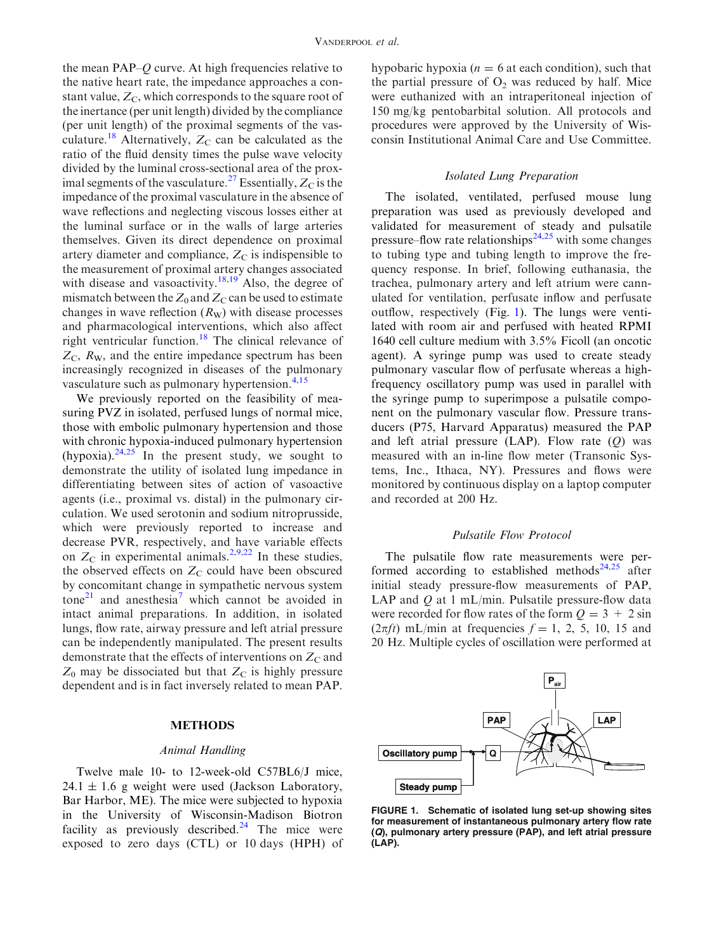the mean PAP–Q curve. At high frequencies relative to the native heart rate, the impedance approaches a constant value,  $Z_C$ , which corresponds to the square root of the inertance (per unit length) divided by the compliance (per unit length) of the proximal segments of the vas-culature.<sup>[18](#page-7-0)</sup> Alternatively,  $Z_C$  can be calculated as the ratio of the fluid density times the pulse wave velocity divided by the luminal cross-sectional area of the prox-imal segments of the vasculature.<sup>[27](#page-7-0)</sup> Essentially,  $Z_{\rm C}$  is the impedance of the proximal vasculature in the absence of wave reflections and neglecting viscous losses either at the luminal surface or in the walls of large arteries themselves. Given its direct dependence on proximal artery diameter and compliance,  $Z_C$  is indispensible to the measurement of proximal artery changes associated with disease and vasoactivity.<sup>[18,19](#page-7-0)</sup> Also, the degree of mismatch between the  $Z_0$  and  $Z_C$  can be used to estimate changes in wave reflection  $(R_W)$  with disease processes and pharmacological interventions, which also affect right ventricular function.<sup>18</sup> The clinical relevance of  $Z_{\rm C}$ ,  $R_{\rm W}$ , and the entire impedance spectrum has been increasingly recognized in diseases of the pulmonary vasculature such as pulmonary hypertension. $4,15$  $4,15$ 

We previously reported on the feasibility of measuring PVZ in isolated, perfused lungs of normal mice, those with embolic pulmonary hypertension and those with chronic hypoxia-induced pulmonary hypertension (hypoxia). $24,25$  In the present study, we sought to demonstrate the utility of isolated lung impedance in differentiating between sites of action of vasoactive agents (i.e., proximal vs. distal) in the pulmonary circulation. We used serotonin and sodium nitroprusside, which were previously reported to increase and decrease PVR, respectively, and have variable effects on  $Z_{\rm C}$  in experimental animals.<sup>[2,9](#page-6-0)[,22](#page-7-0)</sup> In these studies, the observed effects on  $Z_{\rm C}$  could have been obscured by concomitant change in sympathetic nervous system  $\text{tone}^{\text{21}}$  $\text{tone}^{\text{21}}$  $\text{tone}^{\text{21}}$  and anesthesia<sup>[7](#page-6-0)</sup> which cannot be avoided in intact animal preparations. In addition, in isolated lungs, flow rate, airway pressure and left atrial pressure can be independently manipulated. The present results demonstrate that the effects of interventions on  $Z_{\rm C}$  and  $Z_0$  may be dissociated but that  $Z_{\rm C}$  is highly pressure dependent and is in fact inversely related to mean PAP.

#### METHODS

#### Animal Handling

Twelve male 10- to 12-week-old C57BL6/J mice,  $24.1 \pm 1.6$  g weight were used (Jackson Laboratory, Bar Harbor, ME). The mice were subjected to hypoxia in the University of Wisconsin-Madison Biotron facility as previously described. $24$  The mice were exposed to zero days (CTL) or 10 days (HPH) of hypobaric hypoxia ( $n = 6$  at each condition), such that the partial pressure of  $O_2$  was reduced by half. Mice were euthanized with an intraperitoneal injection of 150 mg/kg pentobarbital solution. All protocols and procedures were approved by the University of Wisconsin Institutional Animal Care and Use Committee.

### Isolated Lung Preparation

The isolated, ventilated, perfused mouse lung preparation was used as previously developed and validated for measurement of steady and pulsatile pressure–flow rate relationships<sup>[24,25](#page-7-0)</sup> with some changes to tubing type and tubing length to improve the frequency response. In brief, following euthanasia, the trachea, pulmonary artery and left atrium were cannulated for ventilation, perfusate inflow and perfusate outflow, respectively (Fig. 1). The lungs were ventilated with room air and perfused with heated RPMI 1640 cell culture medium with 3.5% Ficoll (an oncotic agent). A syringe pump was used to create steady pulmonary vascular flow of perfusate whereas a highfrequency oscillatory pump was used in parallel with the syringe pump to superimpose a pulsatile component on the pulmonary vascular flow. Pressure transducers (P75, Harvard Apparatus) measured the PAP and left atrial pressure (LAP). Flow rate  $(Q)$  was measured with an in-line flow meter (Transonic Systems, Inc., Ithaca, NY). Pressures and flows were monitored by continuous display on a laptop computer and recorded at 200 Hz.

#### Pulsatile Flow Protocol

The pulsatile flow rate measurements were per-formed according to established methods<sup>[24,25](#page-7-0)</sup> after initial steady pressure-flow measurements of PAP, LAP and  $Q$  at 1 mL/min. Pulsatile pressure-flow data were recorded for flow rates of the form  $Q = 3 + 2 \sin \theta$  $(2\pi ft)$  mL/min at frequencies  $f = 1, 2, 5, 10, 15$  and 20 Hz. Multiple cycles of oscillation were performed at



FIGURE 1. Schematic of isolated lung set-up showing sites for measurement of instantaneous pulmonary artery flow rate (Q), pulmonary artery pressure (PAP), and left atrial pressure (LAP).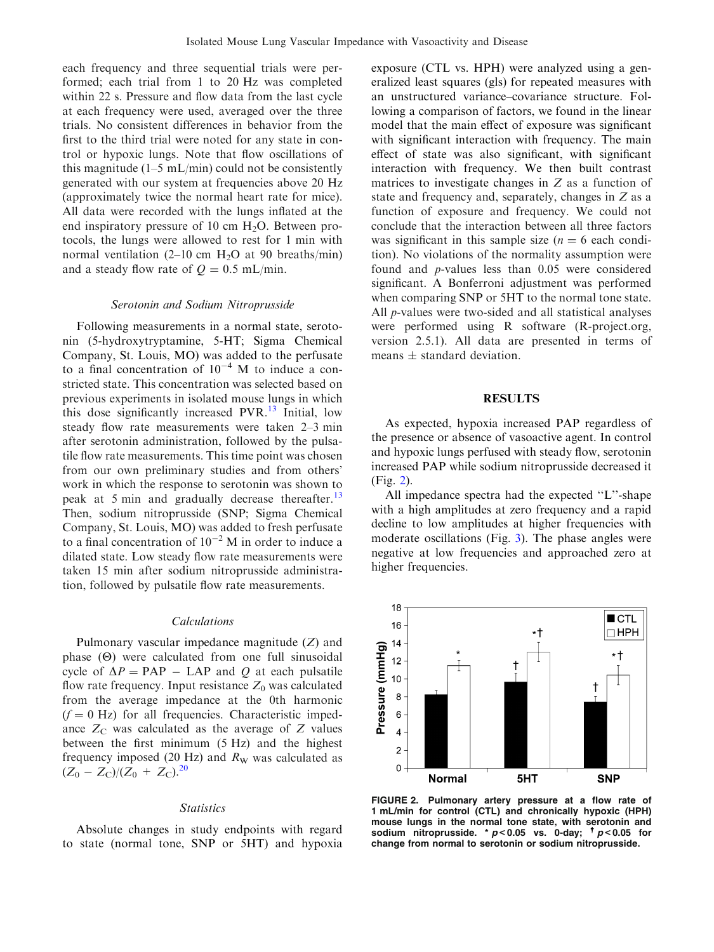each frequency and three sequential trials were performed; each trial from 1 to 20 Hz was completed within 22 s. Pressure and flow data from the last cycle at each frequency were used, averaged over the three trials. No consistent differences in behavior from the first to the third trial were noted for any state in control or hypoxic lungs. Note that flow oscillations of this magnitude  $(1-5 \text{ mL/min})$  could not be consistently generated with our system at frequencies above 20 Hz (approximately twice the normal heart rate for mice). All data were recorded with the lungs inflated at the end inspiratory pressure of 10 cm  $H_2O$ . Between protocols, the lungs were allowed to rest for 1 min with normal ventilation (2–10 cm  $H_2O$  at 90 breaths/min) and a steady flow rate of  $Q = 0.5$  mL/min.

#### Serotonin and Sodium Nitroprusside

Following measurements in a normal state, serotonin (5-hydroxytryptamine, 5-HT; Sigma Chemical Company, St. Louis, MO) was added to the perfusate to a final concentration of  $10^{-4}$  M to induce a constricted state. This concentration was selected based on previous experiments in isolated mouse lungs in which this dose significantly increased PVR.<sup>[13](#page-6-0)</sup> Initial, low steady flow rate measurements were taken 2–3 min after serotonin administration, followed by the pulsatile flow rate measurements. This time point was chosen from our own preliminary studies and from others' work in which the response to serotonin was shown to peak at 5 min and gradually decrease thereafter.<sup>[13](#page-6-0)</sup> Then, sodium nitroprusside (SNP; Sigma Chemical Company, St. Louis, MO) was added to fresh perfusate to a final concentration of  $10^{-2}$  M in order to induce a dilated state. Low steady flow rate measurements were taken 15 min after sodium nitroprusside administration, followed by pulsatile flow rate measurements.

#### Calculations

Pulmonary vascular impedance magnitude (Z) and phase  $(\Theta)$  were calculated from one full sinusoidal cycle of  $\Delta P = PAP - LAP$  and Q at each pulsatile flow rate frequency. Input resistance  $Z_0$  was calculated from the average impedance at the 0th harmonic  $(f = 0$  Hz) for all frequencies. Characteristic impedance  $Z_{\rm C}$  was calculated as the average of  $Z$  values between the first minimum (5 Hz) and the highest frequency imposed (20 Hz) and  $R_W$  was calculated as  $(Z_0 - Z_{\rm C})/(Z_0 + Z_{\rm C})^{20}$  $(Z_0 - Z_{\rm C})/(Z_0 + Z_{\rm C})^{20}$  $(Z_0 - Z_{\rm C})/(Z_0 + Z_{\rm C})^{20}$ 

#### **Statistics**

Absolute changes in study endpoints with regard to state (normal tone, SNP or 5HT) and hypoxia exposure (CTL vs. HPH) were analyzed using a generalized least squares (gls) for repeated measures with an unstructured variance–covariance structure. Following a comparison of factors, we found in the linear model that the main effect of exposure was significant with significant interaction with frequency. The main effect of state was also significant, with significant interaction with frequency. We then built contrast matrices to investigate changes in Z as a function of state and frequency and, separately, changes in Z as a function of exposure and frequency. We could not conclude that the interaction between all three factors was significant in this sample size  $(n = 6$  each condition). No violations of the normality assumption were found and p-values less than 0.05 were considered significant. A Bonferroni adjustment was performed when comparing SNP or 5HT to the normal tone state. All *p*-values were two-sided and all statistical analyses were performed using R software (R-project.org, version 2.5.1). All data are presented in terms of means  $\pm$  standard deviation.

## **RESULTS**

As expected, hypoxia increased PAP regardless of the presence or absence of vasoactive agent. In control and hypoxic lungs perfused with steady flow, serotonin increased PAP while sodium nitroprusside decreased it (Fig. 2).

All impedance spectra had the expected ''L''-shape with a high amplitudes at zero frequency and a rapid decline to low amplitudes at higher frequencies with moderate oscillations (Fig. [3](#page-3-0)). The phase angles were negative at low frequencies and approached zero at higher frequencies.



FIGURE 2. Pulmonary artery pressure at a flow rate of 1 mL/min for control (CTL) and chronically hypoxic (HPH) mouse lungs in the normal tone state, with serotonin and sodium nitroprusside. \*  $p < 0.05$  vs. 0-day;  $\frac{1}{p} < 0.05$  for change from normal to serotonin or sodium nitroprusside.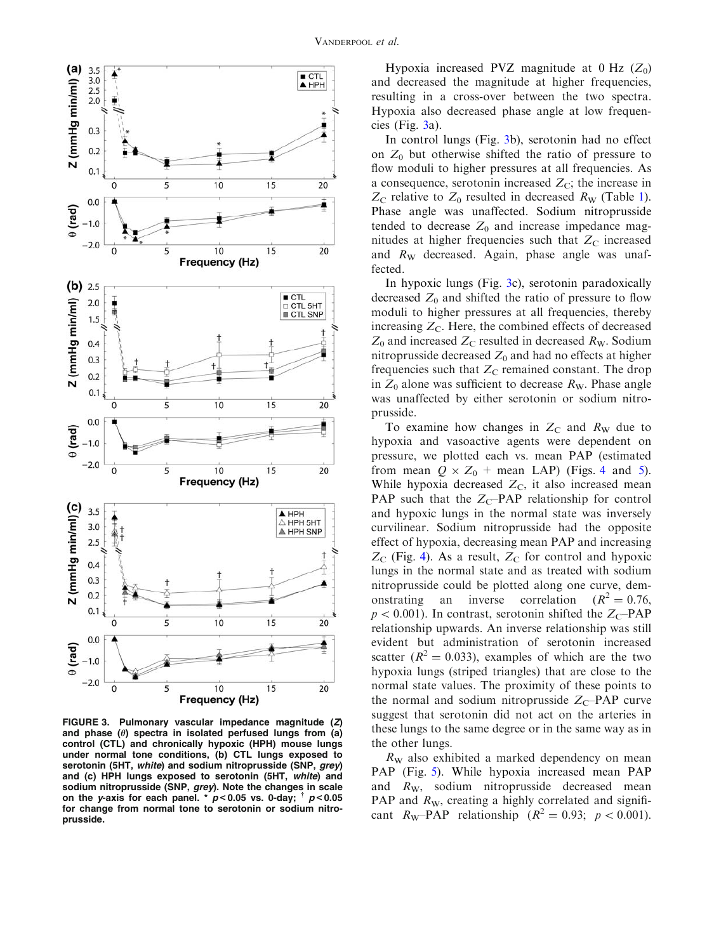<span id="page-3-0"></span>

FIGURE 3. Pulmonary vascular impedance magnitude (Z) and phase ( $\theta$ ) spectra in isolated perfused lungs from (a) control (CTL) and chronically hypoxic (HPH) mouse lungs under normal tone conditions, (b) CTL lungs exposed to serotonin (5HT, white) and sodium nitroprusside (SNP, grey) and (c) HPH lungs exposed to serotonin (5HT, white) and sodium nitroprusside (SNP, grey). Note the changes in scale on the y-axis for each panel.  $*^{p}p<0.05$  vs. 0-day;  $p<0.05$ for change from normal tone to serotonin or sodium nitroprusside.

Hypoxia increased PVZ magnitude at 0 Hz  $(Z_0)$ and decreased the magnitude at higher frequencies, resulting in a cross-over between the two spectra. Hypoxia also decreased phase angle at low frequencies (Fig.  $3a$ ).

In control lungs (Fig. 3b), serotonin had no effect on  $Z_0$  but otherwise shifted the ratio of pressure to flow moduli to higher pressures at all frequencies. As a consequence, serotonin increased  $Z_{\rm C}$ ; the increase in  $Z_{\rm C}$  relative to  $Z_0$  resulted in decreased  $R_{\rm W}$  (Table [1](#page-4-0)). Phase angle was unaffected. Sodium nitroprusside tended to decrease  $Z_0$  and increase impedance magnitudes at higher frequencies such that  $Z_{\rm C}$  increased and  $R_W$  decreased. Again, phase angle was unaffected.

In hypoxic lungs (Fig. 3c), serotonin paradoxically decreased  $Z_0$  and shifted the ratio of pressure to flow moduli to higher pressures at all frequencies, thereby increasing  $Z_{\rm C}$ . Here, the combined effects of decreased  $Z_0$  and increased  $Z_C$  resulted in decreased  $R_W$ . Sodium nitroprusside decreased  $Z_0$  and had no effects at higher frequencies such that  $Z_{\rm C}$  remained constant. The drop in  $Z_0$  alone was sufficient to decrease  $R_W$ . Phase angle was unaffected by either serotonin or sodium nitroprusside.

To examine how changes in  $Z_{\rm C}$  and  $R_{\rm W}$  due to hypoxia and vasoactive agents were dependent on pressure, we plotted each vs. mean PAP (estimated from mean  $Q \times Z_0$  + mean LAP) (Figs. [4](#page-4-0) and [5](#page-4-0)). While hypoxia decreased  $Z_{\rm C}$ , it also increased mean PAP such that the  $Z_{C}$ –PAP relationship for control and hypoxic lungs in the normal state was inversely curvilinear. Sodium nitroprusside had the opposite effect of hypoxia, decreasing mean PAP and increasing  $Z_{\rm C}$  (Fig. [4](#page-4-0)). As a result,  $Z_{\rm C}$  for control and hypoxic lungs in the normal state and as treated with sodium nitroprusside could be plotted along one curve, demonstrating an inverse correlation  $(R^2 = 0.76,$  $p < 0.001$ ). In contrast, serotonin shifted the Z<sub>C</sub>–PAP relationship upwards. An inverse relationship was still evident but administration of serotonin increased scatter ( $R^2 = 0.033$ ), examples of which are the two hypoxia lungs (striped triangles) that are close to the normal state values. The proximity of these points to the normal and sodium nitroprusside  $Z_{\rm C}$ –PAP curve suggest that serotonin did not act on the arteries in these lungs to the same degree or in the same way as in the other lungs.

 $R_W$  also exhibited a marked dependency on mean PAP (Fig. [5\)](#page-4-0). While hypoxia increased mean PAP and  $R_W$ , sodium nitroprusside decreased mean PAP and  $R_W$ , creating a highly correlated and significant  $R_{\text{W}}$ -PAP relationship ( $R^2 = 0.93$ ;  $p < 0.001$ ).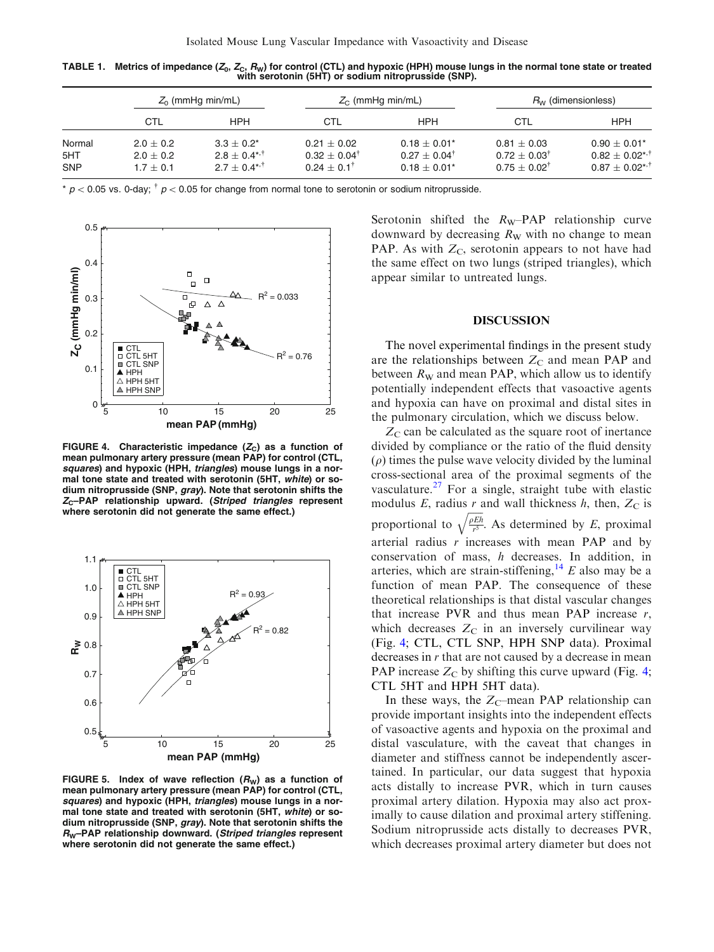<span id="page-4-0"></span>TABLE 1. Metrics of impedance  $(Z_0, Z_c, R_W)$  for control (CTL) and hypoxic (HPH) mouse lungs in the normal tone state or treated with serotonin (5HT) or sodium nitroprusside (SNP).

|                   | $Z_0$ (mmHg min/mL)          |                                     | $Z_{\rm C}$ (mmHg min/mL)                             |                                             | $R_W$ (dimensionless)                                  |                                                                |
|-------------------|------------------------------|-------------------------------------|-------------------------------------------------------|---------------------------------------------|--------------------------------------------------------|----------------------------------------------------------------|
|                   | CTL                          | <b>HPH</b>                          | CTL                                                   | HPH                                         | CTL                                                    | HPH                                                            |
| Normal            | $2.0 + 0.2$                  | $3.3 + 0.2^*$                       | $0.21 + 0.02$                                         | $0.18 \pm 0.01*$                            | $0.81 + 0.03$                                          | $0.90 \pm 0.01*$                                               |
| 5HT<br><b>SNP</b> | $2.0 \pm 0.2$<br>$1.7 + 0.1$ | $2.8 + 0.4***$<br>$2.7 + 0.4^{*,+}$ | $0.32 \pm 0.04^{\dagger}$<br>$0.24 \pm 0.1^{\dagger}$ | $0.27 + 0.04^{\dagger}$<br>$0.18 \pm 0.01*$ | $0.72 \pm 0.03^{\dagger}$<br>$0.75 \pm 0.02^{\dagger}$ | $0.82 \pm 0.02$ <sup>*,†</sup><br>$0.87 + 0.02$ * <sup>1</sup> |

\*  $p$  < 0.05 vs. 0-day;  $\frac{1}{p}$  < 0.05 for change from normal tone to serotonin or sodium nitroprusside.



FIGURE 4. Characteristic impedance  $(Z_C)$  as a function of mean pulmonary artery pressure (mean PAP) for control (CTL, squares) and hypoxic (HPH, triangles) mouse lungs in a normal tone state and treated with serotonin (5HT, white) or sodium nitroprusside (SNP, gray). Note that serotonin shifts the  $Z_C$ –PAP relationship upward. (Striped triangles represent where serotonin did not generate the same effect.)



FIGURE 5. Index of wave reflection  $(R_W)$  as a function of mean pulmonary artery pressure (mean PAP) for control (CTL, squares) and hypoxic (HPH, triangles) mouse lungs in a normal tone state and treated with serotonin (5HT, white) or sodium nitroprusside (SNP, gray). Note that serotonin shifts the R<sub>W</sub>-PAP relationship downward. (Striped triangles represent where serotonin did not generate the same effect.)

Serotonin shifted the  $R_W$ –PAP relationship curve downward by decreasing  $R_W$  with no change to mean PAP. As with  $Z_{\rm C}$ , serotonin appears to not have had the same effect on two lungs (striped triangles), which appear similar to untreated lungs.

#### DISCUSSION

The novel experimental findings in the present study are the relationships between  $Z_{\rm C}$  and mean PAP and between  $R_W$  and mean PAP, which allow us to identify potentially independent effects that vasoactive agents and hypoxia can have on proximal and distal sites in the pulmonary circulation, which we discuss below.

 $Z_{\rm C}$  can be calculated as the square root of inertance divided by compliance or the ratio of the fluid density  $(\rho)$  times the pulse wave velocity divided by the luminal cross-sectional area of the proximal segments of the vasculature. $^{27}$  $^{27}$  $^{27}$  For a single, straight tube with elastic modulus E, radius r and wall thickness  $h$ , then,  $Z_C$  is proportional to  $\frac{\rho Eh}{r^5}$  $\mathbb{Z}$ . As determined by  $E$ , proximal arterial radius  $r$  increases with mean PAP and by conservation of mass, h decreases. In addition, in arteries, which are strain-stiffening,  $^{14}$  $^{14}$  $^{14}$  E also may be a function of mean PAP. The consequence of these theoretical relationships is that distal vascular changes that increase PVR and thus mean PAP increase  $r$ , which decreases  $Z_{\rm C}$  in an inversely curvilinear way (Fig. 4; CTL, CTL SNP, HPH SNP data). Proximal decreases in  $r$  that are not caused by a decrease in mean PAP increase  $Z_C$  by shifting this curve upward (Fig. 4; CTL 5HT and HPH 5HT data).

In these ways, the  $Z_{\rm C}$ -mean PAP relationship can provide important insights into the independent effects of vasoactive agents and hypoxia on the proximal and distal vasculature, with the caveat that changes in diameter and stiffness cannot be independently ascertained. In particular, our data suggest that hypoxia acts distally to increase PVR, which in turn causes proximal artery dilation. Hypoxia may also act proximally to cause dilation and proximal artery stiffening. Sodium nitroprusside acts distally to decreases PVR, which decreases proximal artery diameter but does not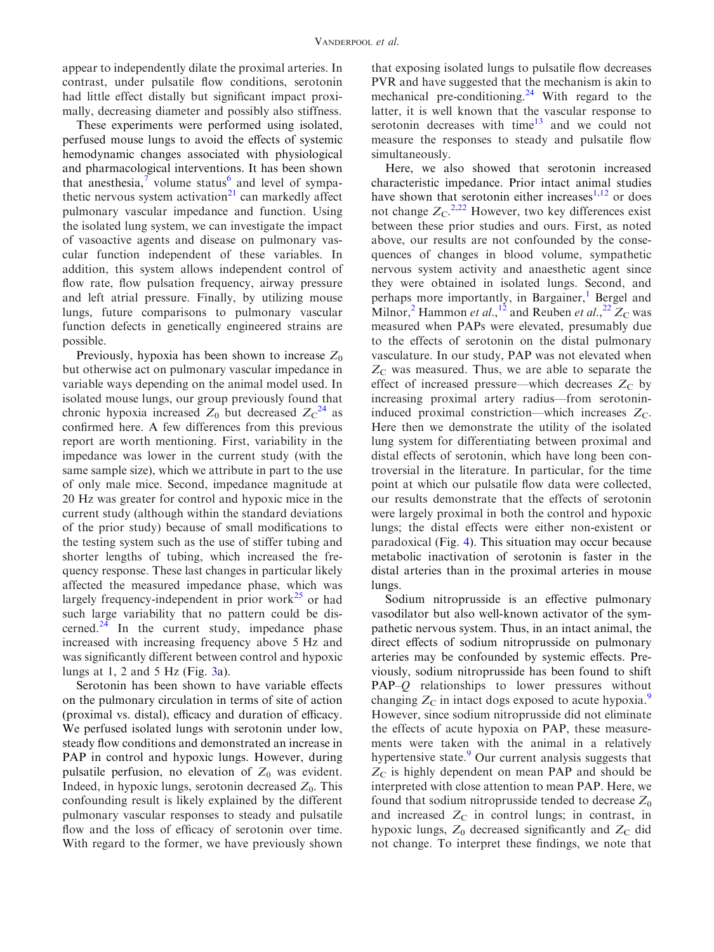appear to independently dilate the proximal arteries. In contrast, under pulsatile flow conditions, serotonin had little effect distally but significant impact proximally, decreasing diameter and possibly also stiffness.

These experiments were performed using isolated, perfused mouse lungs to avoid the effects of systemic hemodynamic changes associated with physiological and pharmacological interventions. It has been shown that anesthesia, $\frac{7}{1}$  $\frac{7}{1}$  $\frac{7}{1}$  volume status<sup>[6](#page-6-0)</sup> and level of sympathetic nervous system activation $21$  can markedly affect pulmonary vascular impedance and function. Using the isolated lung system, we can investigate the impact of vasoactive agents and disease on pulmonary vascular function independent of these variables. In addition, this system allows independent control of flow rate, flow pulsation frequency, airway pressure and left atrial pressure. Finally, by utilizing mouse lungs, future comparisons to pulmonary vascular function defects in genetically engineered strains are possible.

Previously, hypoxia has been shown to increase  $Z_0$ but otherwise act on pulmonary vascular impedance in variable ways depending on the animal model used. In isolated mouse lungs, our group previously found that chronic hypoxia increased  $Z_0$  but decreased  $Z_C^{24}$  $Z_C^{24}$  $Z_C^{24}$  as confirmed here. A few differences from this previous report are worth mentioning. First, variability in the impedance was lower in the current study (with the same sample size), which we attribute in part to the use of only male mice. Second, impedance magnitude at 20 Hz was greater for control and hypoxic mice in the current study (although within the standard deviations of the prior study) because of small modifications to the testing system such as the use of stiffer tubing and shorter lengths of tubing, which increased the frequency response. These last changes in particular likely affected the measured impedance phase, which was largely frequency-independent in prior work $^{25}$  $^{25}$  $^{25}$  or had such large variability that no pattern could be discerned. $24$  In the current study, impedance phase increased with increasing frequency above 5 Hz and was significantly different between control and hypoxic lungs at 1, 2 and 5 Hz (Fig.  $3a$ ).

Serotonin has been shown to have variable effects on the pulmonary circulation in terms of site of action (proximal vs. distal), efficacy and duration of efficacy. We perfused isolated lungs with serotonin under low, steady flow conditions and demonstrated an increase in PAP in control and hypoxic lungs. However, during pulsatile perfusion, no elevation of  $Z_0$  was evident. Indeed, in hypoxic lungs, serotonin decreased  $Z_0$ . This confounding result is likely explained by the different pulmonary vascular responses to steady and pulsatile flow and the loss of efficacy of serotonin over time. With regard to the former, we have previously shown that exposing isolated lungs to pulsatile flow decreases PVR and have suggested that the mechanism is akin to mechanical pre-conditioning.<sup>[24](#page-7-0)</sup> With regard to the latter, it is well known that the vascular response to serotonin decreases with time<sup>[13](#page-6-0)</sup> and we could not measure the responses to steady and pulsatile flow simultaneously.

Here, we also showed that serotonin increased characteristic impedance. Prior intact animal studies have shown that serotonin either increases $1,12$  or does not change  $Z_C$ <sup>[2,](#page-6-0)[22](#page-7-0)</sup> However, two key differences exist between these prior studies and ours. First, as noted above, our results are not confounded by the consequences of changes in blood volume, sympathetic nervous system activity and anaesthetic agent since they were obtained in isolated lungs. Second, and perhaps more importantly, in Bargainer,<sup>[1](#page-6-0)</sup> Bergel and Milnor,<sup>[2](#page-6-0)</sup> Hammon *et al.*,<sup>[12](#page-6-0)</sup> and Reuben *et al.*,<sup>[22](#page-7-0)</sup>  $Z_C$  was measured when PAPs were elevated, presumably due to the effects of serotonin on the distal pulmonary vasculature. In our study, PAP was not elevated when  $Z_{\rm C}$  was measured. Thus, we are able to separate the effect of increased pressure—which decreases  $Z_C$  by increasing proximal artery radius—from serotonininduced proximal constriction—which increases  $Z_C$ . Here then we demonstrate the utility of the isolated lung system for differentiating between proximal and distal effects of serotonin, which have long been controversial in the literature. In particular, for the time point at which our pulsatile flow data were collected, our results demonstrate that the effects of serotonin were largely proximal in both the control and hypoxic lungs; the distal effects were either non-existent or paradoxical (Fig. [4\)](#page-4-0). This situation may occur because metabolic inactivation of serotonin is faster in the distal arteries than in the proximal arteries in mouse lungs.

Sodium nitroprusside is an effective pulmonary vasodilator but also well-known activator of the sympathetic nervous system. Thus, in an intact animal, the direct effects of sodium nitroprusside on pulmonary arteries may be confounded by systemic effects. Previously, sodium nitroprusside has been found to shift PAP-Q relationships to lower pressures without changing  $Z_{\rm C}$  in intact dogs exposed to acute hypoxia.<sup>[9](#page-6-0)</sup> However, since sodium nitroprusside did not eliminate the effects of acute hypoxia on PAP, these measurements were taken with the animal in a relatively hypertensive state.<sup>[9](#page-6-0)</sup> Our current analysis suggests that  $Z_{\rm C}$  is highly dependent on mean PAP and should be interpreted with close attention to mean PAP. Here, we found that sodium nitroprusside tended to decrease  $Z_0$ and increased  $Z_{\rm C}$  in control lungs; in contrast, in hypoxic lungs,  $Z_0$  decreased significantly and  $Z_C$  did not change. To interpret these findings, we note that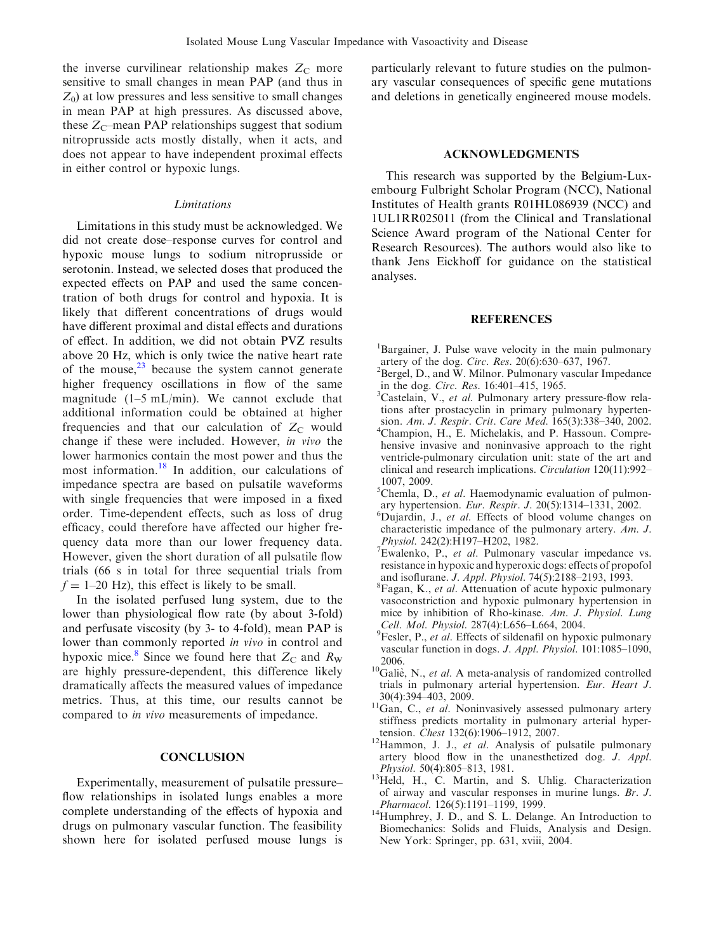<span id="page-6-0"></span>the inverse curvilinear relationship makes  $Z_{\rm C}$  more sensitive to small changes in mean PAP (and thus in  $Z_0$ ) at low pressures and less sensitive to small changes in mean PAP at high pressures. As discussed above, these  $Z_{\rm C}$ –mean PAP relationships suggest that sodium nitroprusside acts mostly distally, when it acts, and does not appear to have independent proximal effects in either control or hypoxic lungs.

### Limitations

Limitations in this study must be acknowledged. We did not create dose–response curves for control and hypoxic mouse lungs to sodium nitroprusside or serotonin. Instead, we selected doses that produced the expected effects on PAP and used the same concentration of both drugs for control and hypoxia. It is likely that different concentrations of drugs would have different proximal and distal effects and durations of effect. In addition, we did not obtain PVZ results above 20 Hz, which is only twice the native heart rate of the mouse, $^{23}$  $^{23}$  $^{23}$  because the system cannot generate higher frequency oscillations in flow of the same magnitude  $(1-5 \text{ mL/min})$ . We cannot exclude that additional information could be obtained at higher frequencies and that our calculation of  $Z_{\rm C}$  would change if these were included. However, in vivo the lower harmonics contain the most power and thus the most information[.18](#page-7-0) In addition, our calculations of impedance spectra are based on pulsatile waveforms with single frequencies that were imposed in a fixed order. Time-dependent effects, such as loss of drug efficacy, could therefore have affected our higher frequency data more than our lower frequency data. However, given the short duration of all pulsatile flow trials (66 s in total for three sequential trials from  $f = 1-20$  Hz), this effect is likely to be small.

In the isolated perfused lung system, due to the lower than physiological flow rate (by about 3-fold) and perfusate viscosity (by 3- to 4-fold), mean PAP is lower than commonly reported in vivo in control and hypoxic mice.<sup>8</sup> Since we found here that  $Z_{\rm C}$  and  $R_{\rm W}$ are highly pressure-dependent, this difference likely dramatically affects the measured values of impedance metrics. Thus, at this time, our results cannot be compared to in vivo measurements of impedance.

## **CONCLUSION**

Experimentally, measurement of pulsatile pressure– flow relationships in isolated lungs enables a more complete understanding of the effects of hypoxia and drugs on pulmonary vascular function. The feasibility shown here for isolated perfused mouse lungs is particularly relevant to future studies on the pulmonary vascular consequences of specific gene mutations and deletions in genetically engineered mouse models.

## ACKNOWLEDGMENTS

This research was supported by the Belgium-Luxembourg Fulbright Scholar Program (NCC), National Institutes of Health grants R01HL086939 (NCC) and 1UL1RR025011 (from the Clinical and Translational Science Award program of the National Center for Research Resources). The authors would also like to thank Jens Eickhoff for guidance on the statistical analyses.

#### REFERENCES

- <sup>1</sup>Bargainer, J. Pulse wave velocity in the main pulmonary
- artery of the dog. *Circ. Res.* 20(6):630–637, 1967.<br><sup>2</sup>Bergel, D., and W. Milnor. Pulmonary vascular Impedance in the dog. *Circ. Res.* 16:401–415, 1965.
- ${}^{3}$ Castelain, V., *et al.* Pulmonary artery pressure-flow relations after prostacyclin in primary pulmonary hypertension. Am. J. Respir. Crit. Care Med. 165(3):338–340, 2002. <sup>4</sup> <sup>4</sup>Champion, H., E. Michelakis, and P. Hassoun. Comprehensive invasive and noninvasive approach to the right ventricle-pulmonary circulation unit: state of the art and clinical and research implications. Circulation 120(11):992– 1007, 2009.
- ${}^5$ Chemla, D., et al. Haemodynamic evaluation of pulmonary hypertension. Eur. Respir. J. 20(5):1314-1331, 2002.
- ${}^{6}$ Dujardin, J., *et al.* Effects of blood volume changes on characteristic impedance of the pulmonary artery. Am. J. Physiol. 242(2):H197–H202, 1982. <sup>7</sup>
- <sup>7</sup>Ewalenko, P., et al. Pulmonary vascular impedance vs. resistance in hypoxic and hyperoxic dogs: effects of propofol and isoflurane. *J. Appl. Physiol.* 74(5):2188–2193, 1993.
- <sup>8</sup>Fagan, K., et al. Attenuation of acute hypoxic pulmonary vasoconstriction and hypoxic pulmonary hypertension in mice by inhibition of Rho-kinase. Am. J. Physiol. Lung Cell. Mol. Physiol. 287(4):L656-L664, 2004.
- <sup>9</sup>Fesler, P., et al. Effects of sildenafil on hypoxic pulmonary vascular function in dogs. J. Appl. Physiol. 101:1085–1090,
- <sup>2006.</sup> <sup>10</sup>Galiè, N., *et al.* A meta-analysis of randomized controlled trials in pulmonary arterial hypertension. Eur. Heart J.
- $30(4)$ :394–403, 2009.<br><sup>11</sup>Gan, C., *et al.* Noninvasively assessed pulmonary artery stiffness predicts mortality in pulmonary arterial hypertension. *Chest*  $132(6):1906-1912$ ,  $2007$ .
- $12$ Hammon, J. J., et al. Analysis of pulsatile pulmonary artery blood flow in the unanesthetized dog. *J. Appl. Physiol.* 50(4):805–813, 1981.
- <sup>13</sup>Held, H., C. Martin, and S. Uhlig. Characterization of airway and vascular responses in murine lungs. Br. J. Pharmacol. 126(5):1191-1199, 1999.
- $14$ Humphrey, J. D., and S. L. Delange. An Introduction to Biomechanics: Solids and Fluids, Analysis and Design. New York: Springer, pp. 631, xviii, 2004.